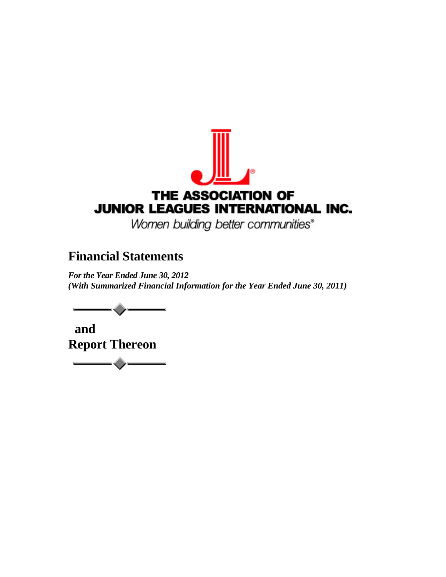

Women building better communities®

# **Financial Statements**

 *For the Year Ended June 30, 2012 (With Summarized Financial Information for the Year Ended June 30, 2011)* 



 **and Report Thereon**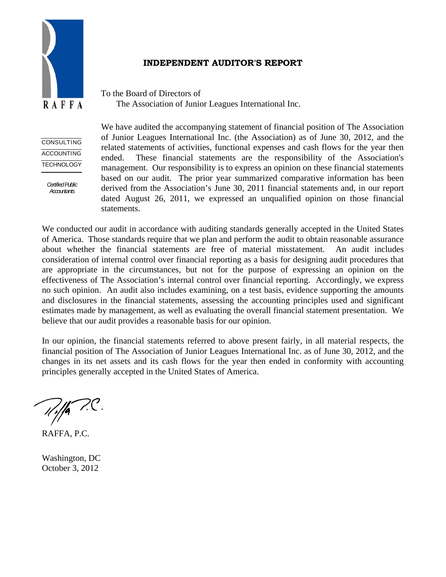

# **INDEPENDENT AUDITOR'S REPORT**

To the Board of Directors of The Association of Junior Leagues International Inc.

**CONSULTING ACCOUNTING** TECHNOLOGY

> *Certified Public Accountants*

We have audited the accompanying statement of financial position of The Association of Junior Leagues International Inc. (the Association) as of June 30, 2012, and the related statements of activities, functional expenses and cash flows for the year then ended. These financial statements are the responsibility of the Association's management. Our responsibility is to express an opinion on these financial statements based on our audit. The prior year summarized comparative information has been derived from the Association's June 30, 2011 financial statements and, in our report dated August 26, 2011, we expressed an unqualified opinion on those financial statements.

We conducted our audit in accordance with auditing standards generally accepted in the United States of America. Those standards require that we plan and perform the audit to obtain reasonable assurance about whether the financial statements are free of material misstatement. An audit includes consideration of internal control over financial reporting as a basis for designing audit procedures that are appropriate in the circumstances, but not for the purpose of expressing an opinion on the effectiveness of The Association's internal control over financial reporting. Accordingly, we express no such opinion. An audit also includes examining, on a test basis, evidence supporting the amounts and disclosures in the financial statements, assessing the accounting principles used and significant estimates made by management, as well as evaluating the overall financial statement presentation. We believe that our audit provides a reasonable basis for our opinion.

In our opinion, the financial statements referred to above present fairly, in all material respects, the financial position of The Association of Junior Leagues International Inc. as of June 30, 2012, and the changes in its net assets and its cash flows for the year then ended in conformity with accounting principles generally accepted in the United States of America.

 $\mathbb{Z}/\mathbb{Z}$ 

RAFFA, P.C.

Washington, DC October 3, 2012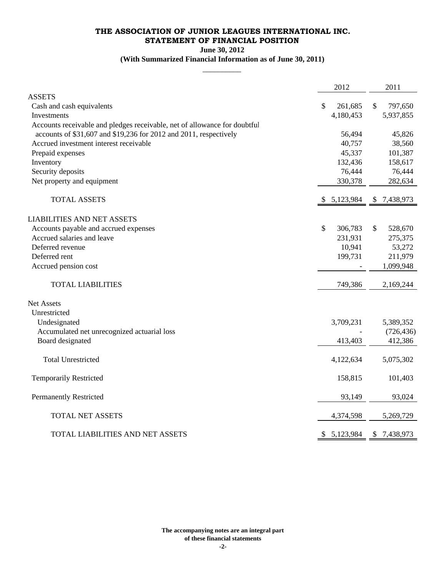# **THE ASSOCIATION OF JUNIOR LEAGUES INTERNATIONAL INC. STATEMENT OF FINANCIAL POSITION**

**June 30, 2012**

### **(With Summarized Financial Information as of June 30, 2011) \_\_\_\_\_\_\_\_\_\_**

|                                                                           | 2012            |              | 2011        |
|---------------------------------------------------------------------------|-----------------|--------------|-------------|
| <b>ASSETS</b>                                                             |                 |              |             |
| Cash and cash equivalents                                                 | \$<br>261,685   | $\mathbb{S}$ | 797,650     |
| Investments                                                               | 4,180,453       |              | 5,937,855   |
| Accounts receivable and pledges receivable, net of allowance for doubtful |                 |              |             |
| accounts of \$31,607 and \$19,236 for 2012 and 2011, respectively         | 56,494          |              | 45,826      |
| Accrued investment interest receivable                                    | 40,757          |              | 38,560      |
| Prepaid expenses                                                          | 45,337          |              | 101,387     |
| Inventory                                                                 | 132,436         |              | 158,617     |
| Security deposits                                                         | 76,444          |              | 76,444      |
| Net property and equipment                                                | 330,378         |              | 282,634     |
| <b>TOTAL ASSETS</b>                                                       | \$5,123,984     |              | \$7,438,973 |
| <b>LIABILITIES AND NET ASSETS</b>                                         |                 |              |             |
| Accounts payable and accrued expenses                                     | \$<br>306,783   | \$           | 528,670     |
| Accrued salaries and leave                                                | 231,931         |              | 275,375     |
| Deferred revenue                                                          | 10,941          |              | 53,272      |
| Deferred rent                                                             | 199,731         |              | 211,979     |
| Accrued pension cost                                                      |                 |              | 1,099,948   |
| <b>TOTAL LIABILITIES</b>                                                  | 749,386         |              | 2,169,244   |
| Net Assets                                                                |                 |              |             |
| Unrestricted                                                              |                 |              |             |
| Undesignated                                                              | 3,709,231       |              | 5,389,352   |
| Accumulated net unrecognized actuarial loss                               |                 |              | (726, 436)  |
| Board designated                                                          | 413,403         |              | 412,386     |
| <b>Total Unrestricted</b>                                                 | 4,122,634       |              | 5,075,302   |
| <b>Temporarily Restricted</b>                                             | 158,815         |              | 101,403     |
| <b>Permanently Restricted</b>                                             | 93,149          |              | 93,024      |
| TOTAL NET ASSETS                                                          | 4,374,598       |              | 5,269,729   |
| TOTAL LIABILITIES AND NET ASSETS                                          | \$<br>5,123,984 | \$           | 7,438,973   |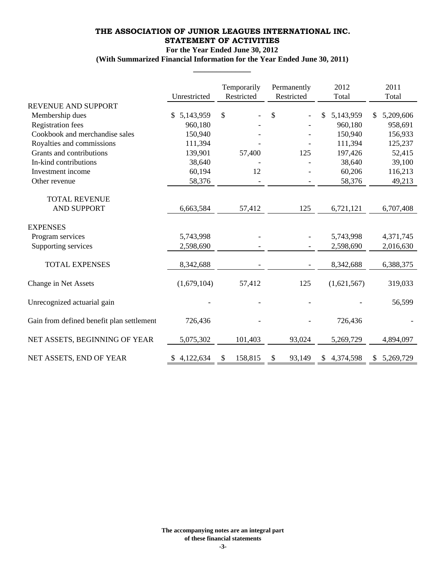# **THE ASSOCIATION OF JUNIOR LEAGUES INTERNATIONAL INC. STATEMENT OF ACTIVITIES**

#### **For the Year Ended June 30, 2012**

**(With Summarized Financial Information for the Year Ended June 30, 2011) \_\_\_\_\_\_\_\_\_\_\_\_\_\_\_**

|                                           | Unrestricted    | Temporarily<br>Restricted | Permanently<br>Restricted | 2012<br>Total | 2011<br>Total    |
|-------------------------------------------|-----------------|---------------------------|---------------------------|---------------|------------------|
| <b>REVENUE AND SUPPORT</b>                |                 |                           |                           |               |                  |
| Membership dues                           | 5,143,959<br>S. | $\mathcal{S}$             | \$                        | 5,143,959     | 5,209,606<br>\$. |
| <b>Registration</b> fees                  | 960,180         |                           |                           | 960,180       | 958,691          |
| Cookbook and merchandise sales            | 150,940         |                           |                           | 150,940       | 156,933          |
| Royalties and commissions                 | 111,394         |                           |                           | 111,394       | 125,237          |
| Grants and contributions                  | 139,901         | 57,400                    | 125                       | 197,426       | 52,415           |
| In-kind contributions                     | 38,640          |                           |                           | 38,640        | 39,100           |
| Investment income                         | 60,194          | 12                        |                           | 60,206        | 116,213          |
| Other revenue                             | 58,376          |                           |                           | 58,376        | 49,213           |
| <b>TOTAL REVENUE</b>                      |                 |                           |                           |               |                  |
| <b>AND SUPPORT</b>                        | 6,663,584       | 57,412                    | 125                       | 6,721,121     | 6,707,408        |
| <b>EXPENSES</b>                           |                 |                           |                           |               |                  |
| Program services                          | 5,743,998       |                           |                           | 5,743,998     | 4,371,745        |
| Supporting services                       | 2,598,690       |                           |                           | 2,598,690     | 2,016,630        |
| <b>TOTAL EXPENSES</b>                     | 8,342,688       |                           |                           | 8,342,688     | 6,388,375        |
| Change in Net Assets                      | (1,679,104)     | 57,412                    | 125                       | (1,621,567)   | 319,033          |
| Unrecognized actuarial gain               |                 |                           |                           |               | 56,599           |
| Gain from defined benefit plan settlement | 726,436         |                           |                           | 726,436       |                  |
| NET ASSETS, BEGINNING OF YEAR             | 5,075,302       | 101,403                   | 93,024                    | 5,269,729     | 4,894,097        |
| NET ASSETS, END OF YEAR                   | \$4,122,634     | 158,815<br>\$             | 93,149<br>\$              | \$4,374,598   | \$5,269,729      |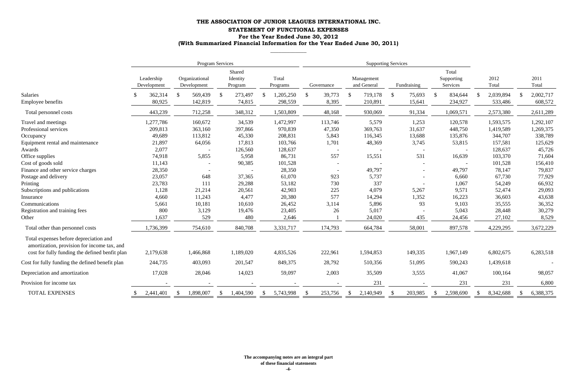|                                                                                                                                         | Program Services          |                               | <b>Supporting Services</b>    |                            |                          |                            |                          |                                 |               |               |
|-----------------------------------------------------------------------------------------------------------------------------------------|---------------------------|-------------------------------|-------------------------------|----------------------------|--------------------------|----------------------------|--------------------------|---------------------------------|---------------|---------------|
|                                                                                                                                         | Leadership<br>Development | Organizational<br>Development | Shared<br>Identity<br>Program | Total<br>Programs          | Governance               | Management<br>and General  | Fundraising              | Total<br>Supporting<br>Services | 2012<br>Total | 2011<br>Total |
| Salaries                                                                                                                                | 362,314                   | 569,439<br>$\mathbb{S}$       | 273,497<br>$\mathbb{S}$       | 1,205,250<br><sup>\$</sup> | 39,773<br>$\mathbb{S}$   | 719,178<br>$\mathcal{S}$   | $\mathcal{S}$<br>75,693  | 834,644<br>- \$                 | 2,039,894     | 2,002,717     |
| <b>Employee benefits</b>                                                                                                                | 80,925                    | 142,819                       | 74,815                        | 298,559                    | 8,395                    | 210,891                    | 15,641                   | 234,927                         | 533,486       | 608,572       |
| Total personnel costs                                                                                                                   | 443,239                   | 712,258                       | 348,312                       | 1,503,809                  | 48,168                   | 930,069                    | 91,334                   | 1,069,571                       | 2,573,380     | 2,611,289     |
| Travel and meetings                                                                                                                     | 1,277,786                 | 160,672                       | 34,539                        | 1,472,997                  | 113,746                  | 5,579                      | 1,253                    | 120,578                         | 1,593,575     | 1,292,107     |
| Professional services                                                                                                                   | 209,813                   | 363,160                       | 397,866                       | 970,839                    | 47,350                   | 369,763                    | 31,637                   | 448,750                         | 1,419,589     | 1,269,375     |
| Occupancy                                                                                                                               | 49,689                    | 113,812                       | 45,330                        | 208,831                    | 5,843                    | 116,345                    | 13,688                   | 135,876                         | 344,707       | 338,789       |
| Equipment rental and maintenance                                                                                                        | 21,897                    | 64,056                        | 17,813                        | 103,766                    | 1,701                    | 48,369                     | 3,745                    | 53,815                          | 157,581       | 125,629       |
| Awards                                                                                                                                  | 2,077                     |                               | 126,560                       | 128,637                    | $\sim$                   |                            | $\overline{\phantom{a}}$ |                                 | 128,637       | 45,726        |
| Office supplies                                                                                                                         | 74,918                    | 5,855                         | 5,958                         | 86,731                     | 557                      | 15,551                     | 531                      | 16,639                          | 103,370       | 71,604        |
| Cost of goods sold                                                                                                                      | 11,143                    |                               | 90,385                        | 101,528                    |                          |                            |                          |                                 | 101,528       | 156,410       |
| Finance and other service charges                                                                                                       | 28,350                    |                               |                               | 28,350                     |                          | 49,797                     |                          | 49,797                          | 78,147        | 79,837        |
| Postage and delivery                                                                                                                    | 23,057                    | 648                           | 37,365                        | 61,070                     | 923                      | 5,737                      |                          | 6,660                           | 67,730        | 77,929        |
| Printing                                                                                                                                | 23,783                    | 111                           | 29,288                        | 53,182                     | 730                      | 337                        |                          | 1,067                           | 54,249        | 66,932        |
| Subscriptions and publications                                                                                                          | 1,128                     | 21,214                        | 20,561                        | 42,903                     | 225                      | 4,079                      | 5,267                    | 9,571                           | 52,474        | 29,093        |
| Insurance                                                                                                                               | 4,660                     | 11,243                        | 4,477                         | 20,380                     | 577                      | 14,294                     | 1,352                    | 16,223                          | 36,603        | 43,638        |
| Communications                                                                                                                          | 5,661                     | 10,181                        | 10,610                        | 26,452                     | 3,114                    | 5,896                      | 93                       | 9,103                           | 35,555        | 36,352        |
| Registration and training fees                                                                                                          | 800                       | 3,129                         | 19,476                        | 23,405                     | 26                       | 5,017                      |                          | 5,043                           | 28,448        | 30,279        |
| Other                                                                                                                                   | 1,637                     | 529                           | 480                           | 2,646                      |                          | 24,020                     | 435                      | 24,456                          | 27,102        | 8,529         |
| Total other than personnel costs                                                                                                        | 1,736,399                 | 754,610                       | 840,708                       | 3,331,717                  | 174,793                  | 664,784                    | 58,001                   | 897,578                         | 4,229,295     | 3,672,229     |
| Total expenses before depreciation and<br>amortization, provision for income tax, and<br>cost for fully funding the defined benfit plan | 2,179,638                 | 1,466,868                     | 1,189,020                     | 4,835,526                  | 222,961                  | 1,594,853                  | 149,335                  | 1,967,149                       | 6,802,675     | 6,283,518     |
| Cost for fully funding the defined benefit plan                                                                                         | 244,735                   | 403,093                       | 201,547                       | 849,375                    | 28,792                   | 510,356                    | 51,095                   | 590,243                         | 1,439,618     |               |
| Depreciation and amortization                                                                                                           | 17,028                    | 28,046                        | 14,023                        | 59,097                     | 2,003                    | 35,509                     | 3,555                    | 41,067                          | 100,164       | 98,057        |
| Provision for income tax                                                                                                                |                           |                               |                               |                            |                          | 231                        |                          | 231                             | 231           | 6,800         |
| TOTAL EXPENSES                                                                                                                          | 2,441,401                 | 1,898,007<br>$\mathcal{S}$    | 1,404,590<br>\$               | 5,743,998<br>$\mathcal{S}$ | 253,756<br>$\mathcal{S}$ | 2,140,949<br>$\mathcal{S}$ | 203,985<br>-S            | 2,598,690<br>$\mathcal{S}$      | 8,342,688     | 6,388,375     |

# **THE ASSOCIATION OF JUNIOR LEAGUES INTERNATIONAL INC. STATEMENT OF FUNCTIONAL EXPENSES For the Year Ended June 30, 2012 (With Summarized Financial Information for the Year Ended June 30, 2011)**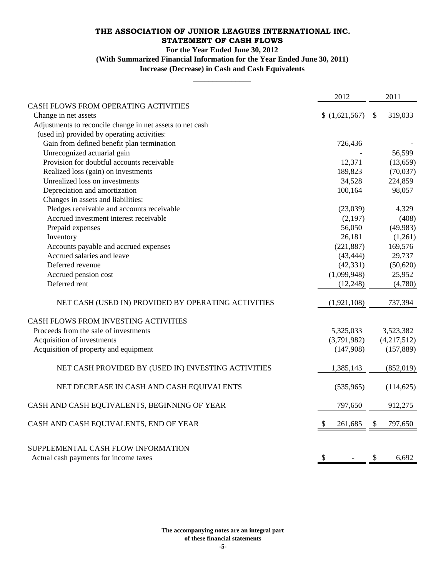## **THE ASSOCIATION OF JUNIOR LEAGUES INTERNATIONAL INC. STATEMENT OF CASH FLOWS**

#### **For the Year Ended June 30, 2012**

**(With Summarized Financial Information for the Year Ended June 30, 2011)**

\_\_\_\_\_\_\_\_\_\_\_\_\_\_\_ **Increase (Decrease) in Cash and Cash Equivalents**

|                                                                             | 2012                                  | 2011                     |
|-----------------------------------------------------------------------------|---------------------------------------|--------------------------|
| CASH FLOWS FROM OPERATING ACTIVITIES                                        |                                       |                          |
| Change in net assets                                                        | (1,621,567)                           | 319,033<br><sup>\$</sup> |
| Adjustments to reconcile change in net assets to net cash                   |                                       |                          |
| (used in) provided by operating activities:                                 |                                       |                          |
| Gain from defined benefit plan termination                                  | 726,436                               |                          |
| Unrecognized actuarial gain                                                 |                                       | 56,599                   |
| Provision for doubtful accounts receivable                                  | 12,371                                | (13, 659)                |
| Realized loss (gain) on investments                                         | 189,823                               | (70,037)                 |
| Unrealized loss on investments                                              | 34,528                                | 224,859                  |
| Depreciation and amortization                                               | 100,164                               | 98,057                   |
| Changes in assets and liabilities:                                          |                                       |                          |
| Pledges receivable and accounts receivable                                  | (23,039)                              | 4,329                    |
| Accrued investment interest receivable                                      | (2,197)                               | (408)                    |
| Prepaid expenses                                                            | 56,050                                | (49, 983)                |
| Inventory                                                                   | 26,181                                | (1,261)                  |
| Accounts payable and accrued expenses                                       | (221, 887)                            | 169,576                  |
| Accrued salaries and leave                                                  | (43, 444)                             | 29,737                   |
| Deferred revenue                                                            | (42, 331)                             | (50,620)                 |
| Accrued pension cost                                                        | (1,099,948)                           | 25,952                   |
| Deferred rent                                                               | (12, 248)                             | (4,780)                  |
| NET CASH (USED IN) PROVIDED BY OPERATING ACTIVITIES                         | (1,921,108)                           | 737,394                  |
| CASH FLOWS FROM INVESTING ACTIVITIES                                        |                                       |                          |
| Proceeds from the sale of investments                                       | 5,325,033                             | 3,523,382                |
| Acquisition of investments                                                  | (3,791,982)                           | (4,217,512)              |
| Acquisition of property and equipment                                       | (147,908)                             | (157, 889)               |
| NET CASH PROVIDED BY (USED IN) INVESTING ACTIVITIES                         | 1,385,143                             | (852, 019)               |
| NET DECREASE IN CASH AND CASH EQUIVALENTS                                   | (535,965)                             | (114, 625)               |
| CASH AND CASH EQUIVALENTS, BEGINNING OF YEAR                                | 797,650                               | 912,275                  |
| CASH AND CASH EQUIVALENTS, END OF YEAR                                      | $\boldsymbol{\mathsf{\$}}$<br>261,685 | 797,650<br>\$            |
| SUPPLEMENTAL CASH FLOW INFORMATION<br>Actual cash payments for income taxes | \$                                    | \$<br>6,692              |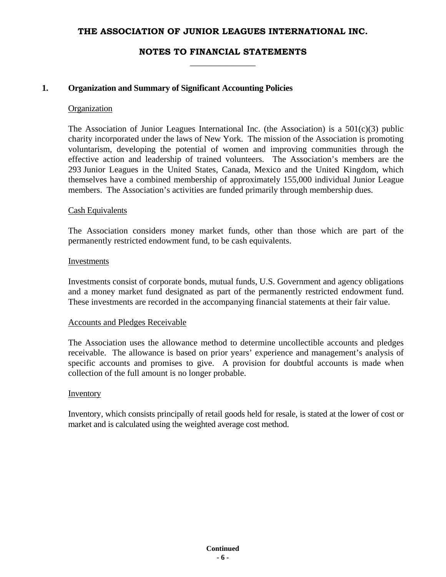# **NOTES TO FINANCIAL STATEMENTS \_\_\_\_\_\_\_\_\_\_\_\_\_\_\_**

### **1. Organization and Summary of Significant Accounting Policies**

#### **Organization**

The Association of Junior Leagues International Inc. (the Association) is a  $501(c)(3)$  public charity incorporated under the laws of New York. The mission of the Association is promoting voluntarism, developing the potential of women and improving communities through the effective action and leadership of trained volunteers. The Association's members are the 293 Junior Leagues in the United States, Canada, Mexico and the United Kingdom, which themselves have a combined membership of approximately 155,000 individual Junior League members. The Association's activities are funded primarily through membership dues.

#### Cash Equivalents

The Association considers money market funds, other than those which are part of the permanently restricted endowment fund, to be cash equivalents.

#### Investments

Investments consist of corporate bonds, mutual funds, U.S. Government and agency obligations and a money market fund designated as part of the permanently restricted endowment fund. These investments are recorded in the accompanying financial statements at their fair value.

#### Accounts and Pledges Receivable

The Association uses the allowance method to determine uncollectible accounts and pledges receivable. The allowance is based on prior years' experience and management's analysis of specific accounts and promises to give. A provision for doubtful accounts is made when collection of the full amount is no longer probable.

#### Inventory

Inventory, which consists principally of retail goods held for resale, is stated at the lower of cost or market and is calculated using the weighted average cost method.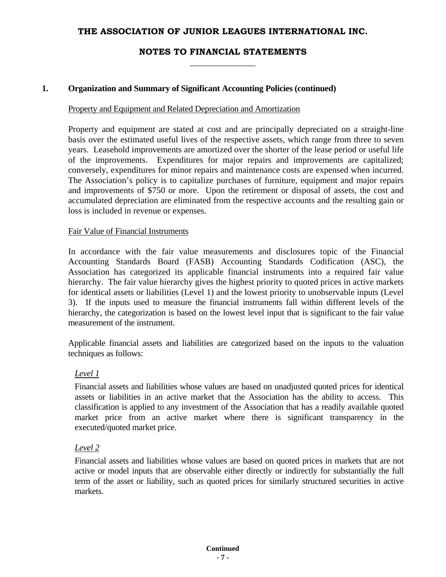# **NOTES TO FINANCIAL STATEMENTS \_\_\_\_\_\_\_\_\_\_\_\_\_\_\_**

### **1. Organization and Summary of Significant Accounting Policies (continued)**

#### Property and Equipment and Related Depreciation and Amortization

Property and equipment are stated at cost and are principally depreciated on a straight-line basis over the estimated useful lives of the respective assets, which range from three to seven years. Leasehold improvements are amortized over the shorter of the lease period or useful life of the improvements. Expenditures for major repairs and improvements are capitalized; conversely, expenditures for minor repairs and maintenance costs are expensed when incurred. The Association's policy is to capitalize purchases of furniture, equipment and major repairs and improvements of \$750 or more. Upon the retirement or disposal of assets, the cost and accumulated depreciation are eliminated from the respective accounts and the resulting gain or loss is included in revenue or expenses.

### Fair Value of Financial Instruments

In accordance with the fair value measurements and disclosures topic of the Financial Accounting Standards Board (FASB) Accounting Standards Codification (ASC), the Association has categorized its applicable financial instruments into a required fair value hierarchy. The fair value hierarchy gives the highest priority to quoted prices in active markets for identical assets or liabilities (Level 1) and the lowest priority to unobservable inputs (Level 3). If the inputs used to measure the financial instruments fall within different levels of the hierarchy, the categorization is based on the lowest level input that is significant to the fair value measurement of the instrument.

Applicable financial assets and liabilities are categorized based on the inputs to the valuation techniques as follows:

### *Level 1*

Financial assets and liabilities whose values are based on unadjusted quoted prices for identical assets or liabilities in an active market that the Association has the ability to access. This classification is applied to any investment of the Association that has a readily available quoted market price from an active market where there is significant transparency in the executed/quoted market price.

### *Level 2*

Financial assets and liabilities whose values are based on quoted prices in markets that are not active or model inputs that are observable either directly or indirectly for substantially the full term of the asset or liability, such as quoted prices for similarly structured securities in active markets.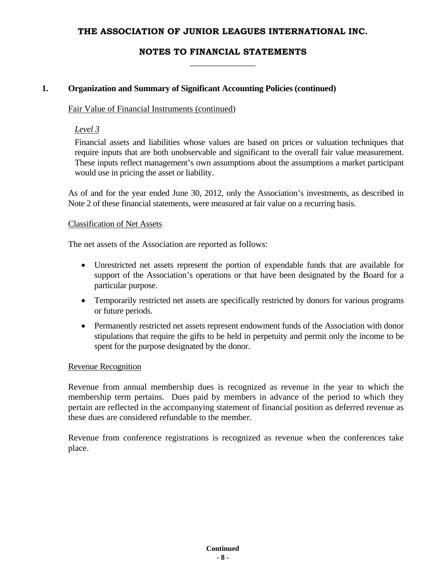# **NOTES TO FINANCIAL STATEMENTS \_\_\_\_\_\_\_\_\_\_\_\_\_\_\_**

# **1. Organization and Summary of Significant Accounting Policies (continued)**

### Fair Value of Financial Instruments (continued)

# *Level 3*

Financial assets and liabilities whose values are based on prices or valuation techniques that require inputs that are both unobservable and significant to the overall fair value measurement. These inputs reflect management's own assumptions about the assumptions a market participant would use in pricing the asset or liability.

As of and for the year ended June 30, 2012, only the Association's investments, as described in Note 2 of these financial statements, were measured at fair value on a recurring basis.

### Classification of Net Assets

The net assets of the Association are reported as follows:

- Unrestricted net assets represent the portion of expendable funds that are available for support of the Association's operations or that have been designated by the Board for a particular purpose.
- Temporarily restricted net assets are specifically restricted by donors for various programs or future periods.
- Permanently restricted net assets represent endowment funds of the Association with donor stipulations that require the gifts to be held in perpetuity and permit only the income to be spent for the purpose designated by the donor.

### Revenue Recognition

Revenue from annual membership dues is recognized as revenue in the year to which the membership term pertains. Dues paid by members in advance of the period to which they pertain are reflected in the accompanying statement of financial position as deferred revenue as these dues are considered refundable to the member.

Revenue from conference registrations is recognized as revenue when the conferences take place.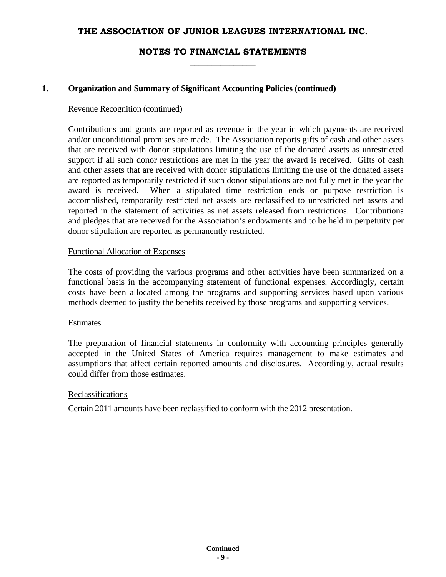# **NOTES TO FINANCIAL STATEMENTS \_\_\_\_\_\_\_\_\_\_\_\_\_\_\_**

### **1. Organization and Summary of Significant Accounting Policies (continued)**

#### Revenue Recognition (continued)

Contributions and grants are reported as revenue in the year in which payments are received and/or unconditional promises are made. The Association reports gifts of cash and other assets that are received with donor stipulations limiting the use of the donated assets as unrestricted support if all such donor restrictions are met in the year the award is received. Gifts of cash and other assets that are received with donor stipulations limiting the use of the donated assets are reported as temporarily restricted if such donor stipulations are not fully met in the year the award is received. When a stipulated time restriction ends or purpose restriction is accomplished, temporarily restricted net assets are reclassified to unrestricted net assets and reported in the statement of activities as net assets released from restrictions. Contributions and pledges that are received for the Association's endowments and to be held in perpetuity per donor stipulation are reported as permanently restricted.

### Functional Allocation of Expenses

The costs of providing the various programs and other activities have been summarized on a functional basis in the accompanying statement of functional expenses. Accordingly, certain costs have been allocated among the programs and supporting services based upon various methods deemed to justify the benefits received by those programs and supporting services.

#### Estimates

The preparation of financial statements in conformity with accounting principles generally accepted in the United States of America requires management to make estimates and assumptions that affect certain reported amounts and disclosures. Accordingly, actual results could differ from those estimates.

### Reclassifications

Certain 2011 amounts have been reclassified to conform with the 2012 presentation.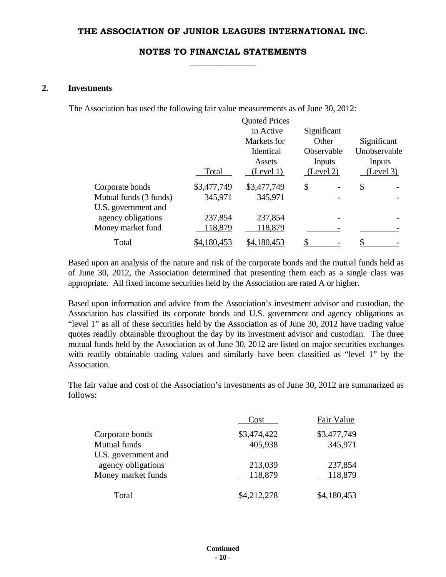# **NOTES TO FINANCIAL STATEMENTS \_\_\_\_\_\_\_\_\_\_\_\_\_\_\_**

### **2. Investments**

The Association has used the following fair value measurements as of June 30, 2012:

|                        | Total       | <b>Quoted Prices</b><br>in Active<br>Markets for<br>Identical<br>Assets<br>(Level 1) | Significant<br>Other<br>Observable<br>Inputs<br>(Level 2) | Significant<br>Unobservable<br>Inputs<br>(Level 3) |
|------------------------|-------------|--------------------------------------------------------------------------------------|-----------------------------------------------------------|----------------------------------------------------|
| Corporate bonds        | \$3,477,749 | \$3,477,749                                                                          | \$                                                        | \$                                                 |
| Mutual funds (3 funds) | 345,971     | 345,971                                                                              |                                                           |                                                    |
| U.S. government and    |             |                                                                                      |                                                           |                                                    |
| agency obligations     | 237,854     | 237,854                                                                              |                                                           |                                                    |
| Money market fund      | 118,879     | 118,879                                                                              |                                                           |                                                    |
| Total                  | \$4,180,453 | \$4,180,453                                                                          |                                                           |                                                    |

Based upon an analysis of the nature and risk of the corporate bonds and the mutual funds held as of June 30, 2012, the Association determined that presenting them each as a single class was appropriate. All fixed income securities held by the Association are rated A or higher.

Based upon information and advice from the Association's investment advisor and custodian, the Association has classified its corporate bonds and U.S. government and agency obligations as "level 1" as all of these securities held by the Association as of June 30, 2012 have trading value quotes readily obtainable throughout the day by its investment advisor and custodian. The three mutual funds held by the Association as of June 30, 2012 are listed on major securities exchanges with readily obtainable trading values and similarly have been classified as "level 1" by the Association.

The fair value and cost of the Association's investments as of June 30, 2012 are summarized as follows:

|              |                     | Cost        | Fair Value  |
|--------------|---------------------|-------------|-------------|
|              | Corporate bonds     | \$3,474,422 | \$3,477,749 |
| Mutual funds |                     | 405,938     | 345,971     |
|              | U.S. government and |             |             |
|              | agency obligations  | 213,039     | 237,854     |
|              | Money market funds  | 118,879     | 118,879     |
|              |                     |             |             |
|              | Total               |             |             |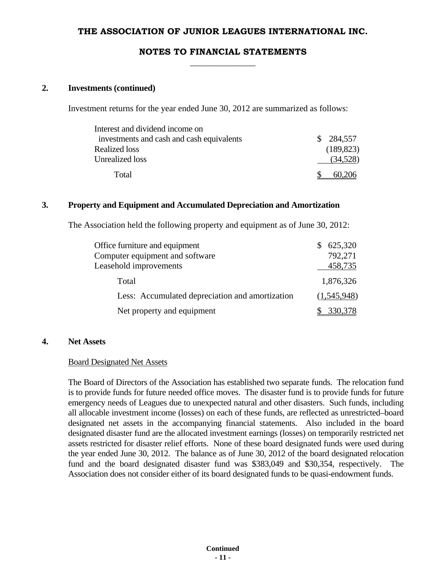# **NOTES TO FINANCIAL STATEMENTS \_\_\_\_\_\_\_\_\_\_\_\_\_\_\_**

#### **2. Investments (continued)**

Investment returns for the year ended June 30, 2012 are summarized as follows:

| Interest and dividend income on           |            |
|-------------------------------------------|------------|
| investments and cash and cash equivalents | \$284,557  |
| <b>Realized loss</b>                      | (189, 823) |
| Unrealized loss                           | (34,528)   |
| Total                                     |            |

### **3. Property and Equipment and Accumulated Depreciation and Amortization**

The Association held the following property and equipment as of June 30, 2012:

| Office furniture and equipment                  | 625,320     |
|-------------------------------------------------|-------------|
| Computer equipment and software                 | 792,271     |
| Leasehold improvements                          | 458,735     |
| Total                                           | 1,876,326   |
| Less: Accumulated depreciation and amortization | (1,545,948) |
| Net property and equipment                      | 330,378     |

### **4. Net Assets**

#### Board Designated Net Assets

The Board of Directors of the Association has established two separate funds. The relocation fund is to provide funds for future needed office moves. The disaster fund is to provide funds for future emergency needs of Leagues due to unexpected natural and other disasters. Such funds, including all allocable investment income (losses) on each of these funds, are reflected as unrestricted–board designated net assets in the accompanying financial statements. Also included in the board designated disaster fund are the allocated investment earnings (losses) on temporarily restricted net assets restricted for disaster relief efforts. None of these board designated funds were used during the year ended June 30, 2012. The balance as of June 30, 2012 of the board designated relocation fund and the board designated disaster fund was \$383,049 and \$30,354, respectively. The Association does not consider either of its board designated funds to be quasi-endowment funds.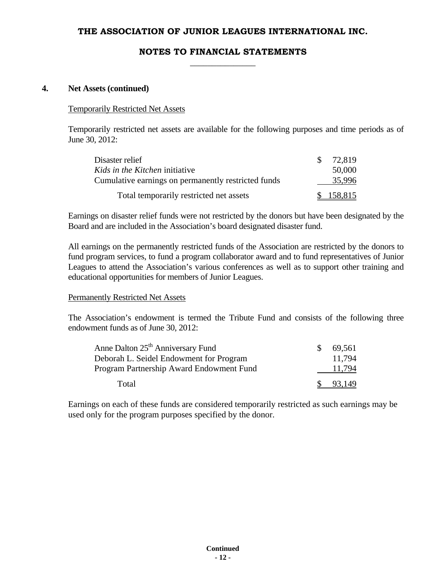# **NOTES TO FINANCIAL STATEMENTS \_\_\_\_\_\_\_\_\_\_\_\_\_\_\_**

### **4. Net Assets (continued)**

# Temporarily Restricted Net Assets

Temporarily restricted net assets are available for the following purposes and time periods as of June 30, 2012:

| Disaster relief                                     | SS. | 72,819    |
|-----------------------------------------------------|-----|-----------|
| <i>Kids in the Kitchen initiative</i>               |     | 50,000    |
| Cumulative earnings on permanently restricted funds |     | 35,996    |
| Total temporarily restricted net assets             |     | \$158.815 |

Earnings on disaster relief funds were not restricted by the donors but have been designated by the Board and are included in the Association's board designated disaster fund.

All earnings on the permanently restricted funds of the Association are restricted by the donors to fund program services, to fund a program collaborator award and to fund representatives of Junior Leagues to attend the Association's various conferences as well as to support other training and educational opportunities for members of Junior Leagues.

#### Permanently Restricted Net Assets

The Association's endowment is termed the Tribute Fund and consists of the following three endowment funds as of June 30, 2012:

| Anne Dalton 25 <sup>th</sup> Anniversary Fund | 69,561 |
|-----------------------------------------------|--------|
| Deborah L. Seidel Endowment for Program       | 11.794 |
| Program Partnership Award Endowment Fund      | 11.794 |
| Total                                         | 93,149 |

Earnings on each of these funds are considered temporarily restricted as such earnings may be used only for the program purposes specified by the donor.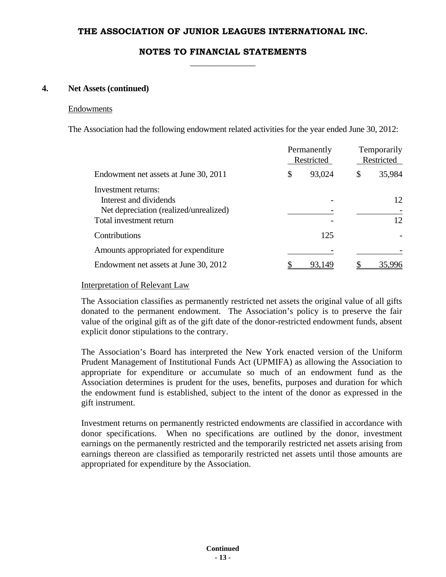# **NOTES TO FINANCIAL STATEMENTS \_\_\_\_\_\_\_\_\_\_\_\_\_\_\_**

### **4. Net Assets (continued)**

#### Endowments

The Association had the following endowment related activities for the year ended June 30, 2012:

|                                                                                                                    | Permanently<br>Restricted |     | Temporarily<br>Restricted |
|--------------------------------------------------------------------------------------------------------------------|---------------------------|-----|---------------------------|
| Endowment net assets at June 30, 2011                                                                              | 93,024<br>\$              | \$  | 35,984                    |
| Investment returns:<br>Interest and dividends<br>Net depreciation (realized/unrealized)<br>Total investment return |                           |     | 12<br>12                  |
| Contributions                                                                                                      |                           | 125 |                           |
| Amounts appropriated for expenditure                                                                               |                           |     |                           |
| Endowment net assets at June 30, 2012                                                                              | 93.149                    |     | 35,996                    |
|                                                                                                                    |                           |     |                           |

#### Interpretation of Relevant Law

The Association classifies as permanently restricted net assets the original value of all gifts donated to the permanent endowment. The Association's policy is to preserve the fair value of the original gift as of the gift date of the donor-restricted endowment funds, absent explicit donor stipulations to the contrary.

The Association's Board has interpreted the New York enacted version of the Uniform Prudent Management of Institutional Funds Act (UPMIFA) as allowing the Association to appropriate for expenditure or accumulate so much of an endowment fund as the Association determines is prudent for the uses, benefits, purposes and duration for which the endowment fund is established, subject to the intent of the donor as expressed in the gift instrument.

Investment returns on permanently restricted endowments are classified in accordance with donor specifications. When no specifications are outlined by the donor, investment earnings on the permanently restricted and the temporarily restricted net assets arising from earnings thereon are classified as temporarily restricted net assets until those amounts are appropriated for expenditure by the Association.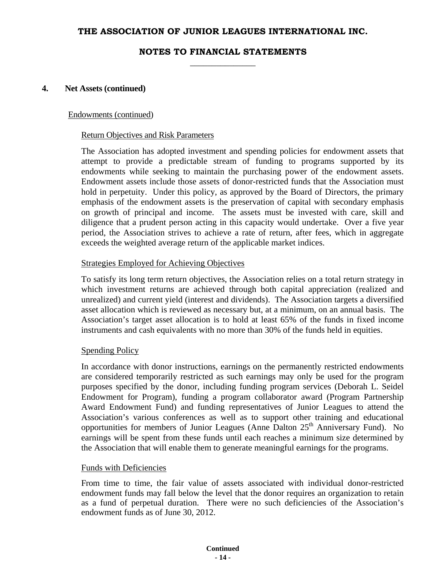# **NOTES TO FINANCIAL STATEMENTS \_\_\_\_\_\_\_\_\_\_\_\_\_\_\_**

#### **4. Net Assets (continued)**

#### Endowments (continued)

#### Return Objectives and Risk Parameters

The Association has adopted investment and spending policies for endowment assets that attempt to provide a predictable stream of funding to programs supported by its endowments while seeking to maintain the purchasing power of the endowment assets. Endowment assets include those assets of donor-restricted funds that the Association must hold in perpetuity. Under this policy, as approved by the Board of Directors, the primary emphasis of the endowment assets is the preservation of capital with secondary emphasis on growth of principal and income. The assets must be invested with care, skill and diligence that a prudent person acting in this capacity would undertake. Over a five year period, the Association strives to achieve a rate of return, after fees, which in aggregate exceeds the weighted average return of the applicable market indices.

### Strategies Employed for Achieving Objectives

To satisfy its long term return objectives, the Association relies on a total return strategy in which investment returns are achieved through both capital appreciation (realized and unrealized) and current yield (interest and dividends). The Association targets a diversified asset allocation which is reviewed as necessary but, at a minimum, on an annual basis. The Association's target asset allocation is to hold at least 65% of the funds in fixed income instruments and cash equivalents with no more than 30% of the funds held in equities.

#### **Spending Policy**

In accordance with donor instructions, earnings on the permanently restricted endowments are considered temporarily restricted as such earnings may only be used for the program purposes specified by the donor, including funding program services (Deborah L. Seidel Endowment for Program), funding a program collaborator award (Program Partnership Award Endowment Fund) and funding representatives of Junior Leagues to attend the Association's various conferences as well as to support other training and educational opportunities for members of Junior Leagues (Anne Dalton 25<sup>th</sup> Anniversary Fund). No earnings will be spent from these funds until each reaches a minimum size determined by the Association that will enable them to generate meaningful earnings for the programs.

#### Funds with Deficiencies

From time to time, the fair value of assets associated with individual donor-restricted endowment funds may fall below the level that the donor requires an organization to retain as a fund of perpetual duration. There were no such deficiencies of the Association's endowment funds as of June 30, 2012.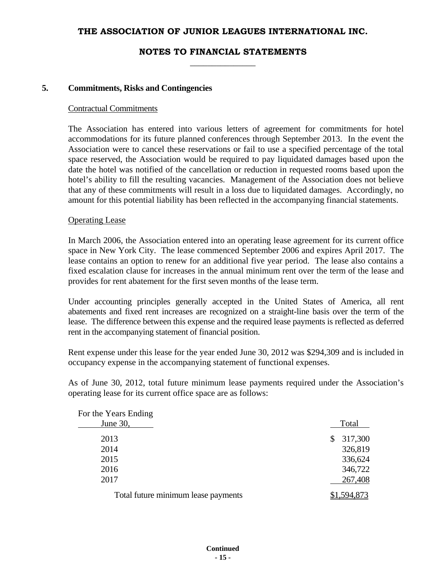# **NOTES TO FINANCIAL STATEMENTS \_\_\_\_\_\_\_\_\_\_\_\_\_\_\_**

#### **5. Commitments, Risks and Contingencies**

#### Contractual Commitments

The Association has entered into various letters of agreement for commitments for hotel accommodations for its future planned conferences through September 2013. In the event the Association were to cancel these reservations or fail to use a specified percentage of the total space reserved, the Association would be required to pay liquidated damages based upon the date the hotel was notified of the cancellation or reduction in requested rooms based upon the hotel's ability to fill the resulting vacancies. Management of the Association does not believe that any of these commitments will result in a loss due to liquidated damages. Accordingly, no amount for this potential liability has been reflected in the accompanying financial statements.

### Operating Lease

In March 2006, the Association entered into an operating lease agreement for its current office space in New York City. The lease commenced September 2006 and expires April 2017. The lease contains an option to renew for an additional five year period. The lease also contains a fixed escalation clause for increases in the annual minimum rent over the term of the lease and provides for rent abatement for the first seven months of the lease term.

Under accounting principles generally accepted in the United States of America, all rent abatements and fixed rent increases are recognized on a straight-line basis over the term of the lease. The difference between this expense and the required lease payments is reflected as deferred rent in the accompanying statement of financial position.

Rent expense under this lease for the year ended June 30, 2012 was \$294,309 and is included in occupancy expense in the accompanying statement of functional expenses.

As of June 30, 2012, total future minimum lease payments required under the Association's operating lease for its current office space are as follows:

| For the Years Ending                |               |
|-------------------------------------|---------------|
| June 30,                            | Total         |
| 2013                                | 317,300<br>\$ |
| 2014                                | 326,819       |
| 2015                                | 336,624       |
| 2016                                | 346,722       |
| 2017                                | 267,408       |
| Total future minimum lease payments | .594.873      |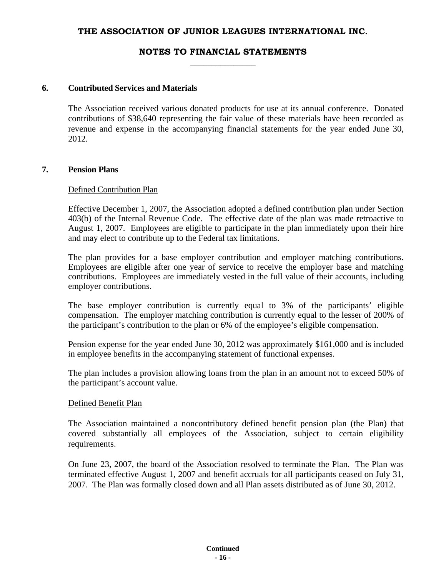# **NOTES TO FINANCIAL STATEMENTS \_\_\_\_\_\_\_\_\_\_\_\_\_\_\_**

### **6. Contributed Services and Materials**

The Association received various donated products for use at its annual conference. Donated contributions of \$38,640 representing the fair value of these materials have been recorded as revenue and expense in the accompanying financial statements for the year ended June 30, 2012.

### **7. Pension Plans**

### Defined Contribution Plan

Effective December 1, 2007, the Association adopted a defined contribution plan under Section 403(b) of the Internal Revenue Code. The effective date of the plan was made retroactive to August 1, 2007. Employees are eligible to participate in the plan immediately upon their hire and may elect to contribute up to the Federal tax limitations.

The plan provides for a base employer contribution and employer matching contributions. Employees are eligible after one year of service to receive the employer base and matching contributions. Employees are immediately vested in the full value of their accounts, including employer contributions.

The base employer contribution is currently equal to 3% of the participants' eligible compensation. The employer matching contribution is currently equal to the lesser of 200% of the participant's contribution to the plan or 6% of the employee's eligible compensation.

Pension expense for the year ended June 30, 2012 was approximately \$161,000 and is included in employee benefits in the accompanying statement of functional expenses.

The plan includes a provision allowing loans from the plan in an amount not to exceed 50% of the participant's account value.

#### Defined Benefit Plan

The Association maintained a noncontributory defined benefit pension plan (the Plan) that covered substantially all employees of the Association, subject to certain eligibility requirements.

On June 23, 2007, the board of the Association resolved to terminate the Plan. The Plan was terminated effective August 1, 2007 and benefit accruals for all participants ceased on July 31, 2007. The Plan was formally closed down and all Plan assets distributed as of June 30, 2012.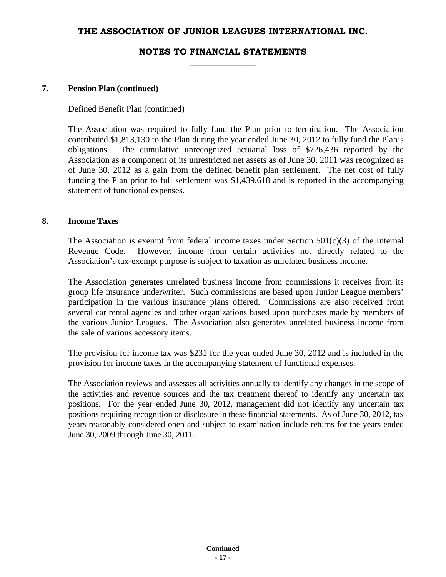# **NOTES TO FINANCIAL STATEMENTS \_\_\_\_\_\_\_\_\_\_\_\_\_\_\_**

### **7. Pension Plan (continued)**

#### Defined Benefit Plan (continued)

The Association was required to fully fund the Plan prior to termination. The Association contributed \$1,813,130 to the Plan during the year ended June 30, 2012 to fully fund the Plan's obligations. The cumulative unrecognized actuarial loss of \$726,436 reported by the Association as a component of its unrestricted net assets as of June 30, 2011 was recognized as of June 30, 2012 as a gain from the defined benefit plan settlement. The net cost of fully funding the Plan prior to full settlement was \$1,439,618 and is reported in the accompanying statement of functional expenses.

### **8. Income Taxes**

The Association is exempt from federal income taxes under Section  $501(c)(3)$  of the Internal Revenue Code. However, income from certain activities not directly related to the Association's tax-exempt purpose is subject to taxation as unrelated business income.

The Association generates unrelated business income from commissions it receives from its group life insurance underwriter. Such commissions are based upon Junior League members' participation in the various insurance plans offered. Commissions are also received from several car rental agencies and other organizations based upon purchases made by members of the various Junior Leagues. The Association also generates unrelated business income from the sale of various accessory items.

 The provision for income tax was \$231 for the year ended June 30, 2012 and is included in the provision for income taxes in the accompanying statement of functional expenses.

The Association reviews and assesses all activities annually to identify any changes in the scope of the activities and revenue sources and the tax treatment thereof to identify any uncertain tax positions. For the year ended June 30, 2012, management did not identify any uncertain tax positions requiring recognition or disclosure in these financial statements. As of June 30, 2012, tax years reasonably considered open and subject to examination include returns for the years ended June 30, 2009 through June 30, 2011.